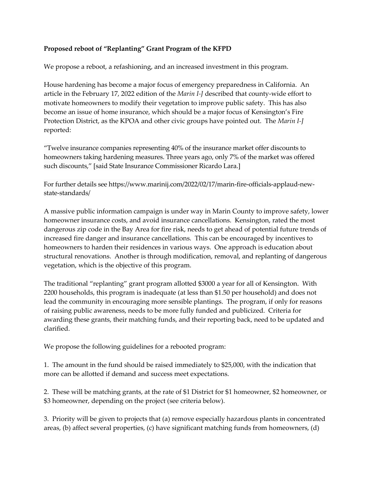## **Proposed reboot of "Replanting" Grant Program of the KFPD**

We propose a reboot, a refashioning, and an increased investment in this program.

House hardening has become a major focus of emergency preparedness in California. An article in the February 17, 2022 edition of the *Marin I-J* described that county-wide effort to motivate homeowners to modify their vegetation to improve public safety. This has also become an issue of home insurance, which should be a major focus of Kensington's Fire Protection District, as the KPOA and other civic groups have pointed out. The *Marin I-J* reported:

"Twelve insurance companies representing 40% of the insurance market offer discounts to homeowners taking hardening measures. Three years ago, only 7% of the market was offered such discounts," [said State Insurance Commissioner Ricardo Lara.]

For further details see https://www.marinij.com/2022/02/17/marin-fire-officials-applaud-newstate-standards/

A massive public information campaign is under way in Marin County to improve safety, lower homeowner insurance costs, and avoid insurance cancellations. Kensington, rated the most dangerous zip code in the Bay Area for fire risk, needs to get ahead of potential future trends of increased fire danger and insurance cancellations. This can be encouraged by incentives to homeowners to harden their residences in various ways. One approach is education about structural renovations. Another is through modification, removal, and replanting of dangerous vegetation, which is the objective of this program.

The traditional "replanting" grant program allotted \$3000 a year for all of Kensington. With 2200 households, this program is inadequate (at less than \$1.50 per household) and does not lead the community in encouraging more sensible plantings. The program, if only for reasons of raising public awareness, needs to be more fully funded and publicized. Criteria for awarding these grants, their matching funds, and their reporting back, need to be updated and clarified.

We propose the following guidelines for a rebooted program:

1. The amount in the fund should be raised immediately to \$25,000, with the indication that more can be allotted if demand and success meet expectations.

2. These will be matching grants, at the rate of \$1 District for \$1 homeowner, \$2 homeowner, or \$3 homeowner, depending on the project (see criteria below).

3. Priority will be given to projects that (a) remove especially hazardous plants in concentrated areas, (b) affect several properties, (c) have significant matching funds from homeowners, (d)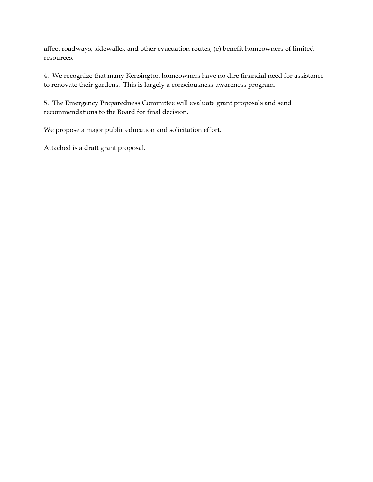affect roadways, sidewalks, and other evacuation routes, (e) benefit homeowners of limited resources.

4. We recognize that many Kensington homeowners have no dire financial need for assistance to renovate their gardens. This is largely a consciousness-awareness program.

5. The Emergency Preparedness Committee will evaluate grant proposals and send recommendations to the Board for final decision.

We propose a major public education and solicitation effort.

Attached is a draft grant proposal.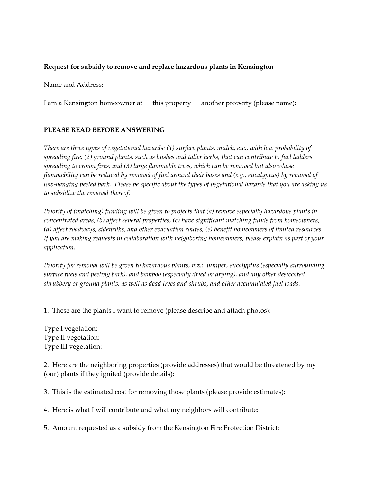## **Request for subsidy to remove and replace hazardous plants in Kensington**

Name and Address:

I am a Kensington homeowner at \_\_ this property \_\_ another property (please name):

## **PLEASE READ BEFORE ANSWERING**

*There are three types of vegetational hazards: (1) surface plants, mulch, etc., with low probability of spreading fire; (2) ground plants, such as bushes and taller herbs, that can contribute to fuel ladders spreading to crown fires; and (3) large flammable trees, which can be removed but also whose flammability can be reduced by removal of fuel around their bases and (e.g., eucalyptus) by removal of low-hanging peeled bark. Please be specific about the types of vegetational hazards that you are asking us to subsidize the removal thereof.*

*Priority of (matching) funding will be given to projects that (a) remove especially hazardous plants in concentrated areas, (b) affect several properties, (c) have significant matching funds from homeowners, (d) affect roadways, sidewalks, and other evacuation routes, (e) benefit homeowners of limited resources. If you are making requests in collaboration with neighboring homeowners, please explain as part of your application.* 

*Priority for removal will be given to hazardous plants, viz.: juniper, eucalyptus (especially surrounding surface fuels and peeling bark), and bamboo (especially dried or drying), and any other desiccated shrubbery or ground plants, as well as dead trees and shrubs, and other accumulated fuel loads.*

1. These are the plants I want to remove (please describe and attach photos):

Type I vegetation: Type II vegetation: Type III vegetation:

2. Here are the neighboring properties (provide addresses) that would be threatened by my (our) plants if they ignited (provide details):

3. This is the estimated cost for removing those plants (please provide estimates):

4. Here is what I will contribute and what my neighbors will contribute:

5. Amount requested as a subsidy from the Kensington Fire Protection District: